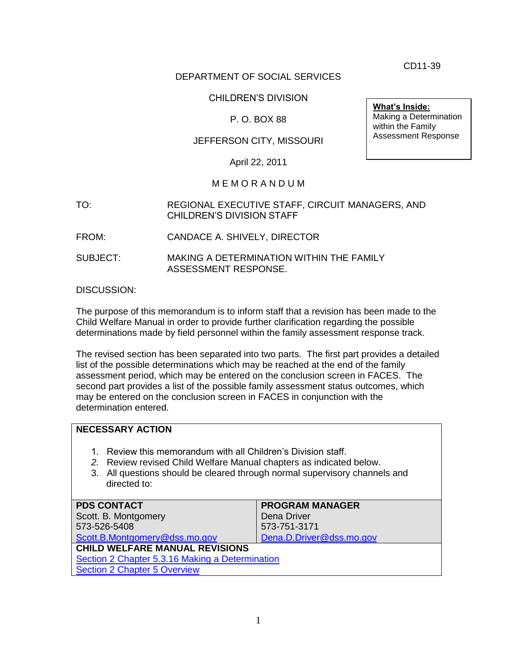CD11-39

Making a Determination within the Family Assessment Response

**What's Inside:**

## DEPARTMENT OF SOCIAL SERVICES

## CHILDREN'S DIVISION

## P. O. BOX 88

## JEFFERSON CITY, MISSOURI

April 22, 2011

### M E M O R A N D U M

- TO: REGIONAL EXECUTIVE STAFF, CIRCUIT MANAGERS, AND CHILDREN'S DIVISION STAFF
- FROM: CANDACE A. SHIVELY, DIRECTOR
- SUBJECT: MAKING A DETERMINATION WITHIN THE FAMILY ASSESSMENT RESPONSE.

DISCUSSION:

The purpose of this memorandum is to inform staff that a revision has been made to the Child Welfare Manual in order to provide further clarification regarding the possible determinations made by field personnel within the family assessment response track.

The revised section has been separated into two parts. The first part provides a detailed list of the possible determinations which may be reached at the end of the family assessment period, which may be entered on the conclusion screen in FACES. The second part provides a list of the possible family assessment status outcomes, which may be entered on the conclusion screen in FACES in conjunction with the determination entered.

### **NECESSARY ACTION** 1. Review this memorandum with all Children's Division staff. *2.* Review revised Child Welfare Manual chapters as indicated below. 3. All questions should be cleared through normal supervisory channels and directed to: **PDS CONTACT** Scott. B. Montgomery 573-526-5408 [Scott.B.Montgomery@dss.mo.gov](mailto:Scott.B.Montgomery@dss.mo.gov) **PROGRAM MANAGER** Dena Driver 573-751-3171 [Dena.D.Driver@dss.mo.gov](mailto:Dena.D.Driver@dss.mo.gov) **CHILD WELFARE MANUAL REVISIONS** [Section 2 Chapter 5.3.16 Making a Determination](http://www.dss.mo.gov/cd/info/cwmanual/section2/ch5/sec2ch5sub3_16.htm) **[Section 2 Chapter 5 Overview](http://www.dss.mo.gov/cd/info/cwmanual/section2/ch5/sec2ch5index.htm)**